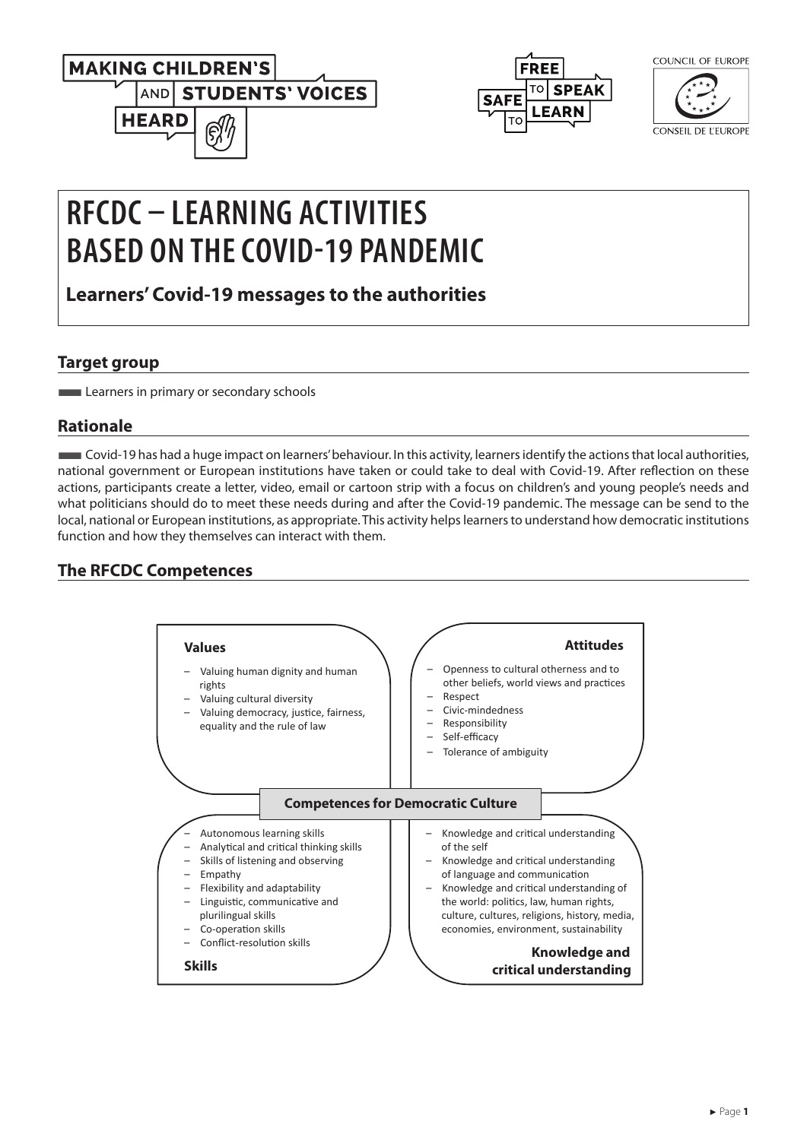



| COUNCIL OF EUROPE |
|-------------------|
|                   |

 $2011101100F011000$ 

**CONSEIL DE L'EUROPE** 

# **RFCDC – LEARNING ACTIVITIES BASED ON THE COVID-19 PANDEMIC**

**Learners' Covid-19 messages to the authorities**

### **Target group**

**Learners in primary or secondary schools** 

## **Rationale**

■Covid-19 has had a huge impact on learners' behaviour. In this activity, learners identify the actions that local authorities, national government or European institutions have taken or could take to deal with Covid-19. After reflection on these actions, participants create a letter, video, email or cartoon strip with a focus on children's and young people's needs and what politicians should do to meet these needs during and after the Covid-19 pandemic. The message can be send to the local, national or European institutions, as appropriate. This activity helps learners to understand how democratic institutions function and how they themselves can interact with them.

## **The RFCDC Competences**

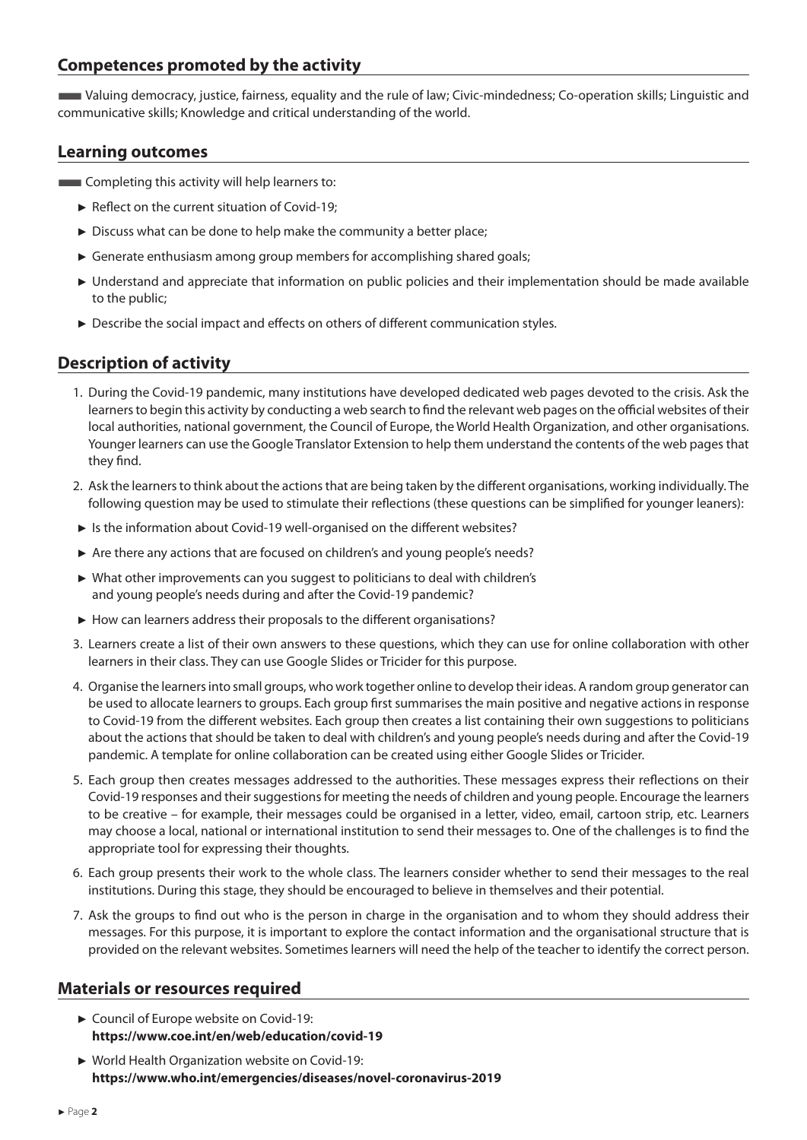#### **Competences promoted by the activity**

■Valuing democracy, justice, fairness, equality and the rule of law; Civic-mindedness; Co-operation skills; Linguistic and communicative skills; Knowledge and critical understanding of the world.

#### **Learning outcomes**

**EXECOMPLER** Completing this activity will help learners to:

- ► Reflect on the current situation of Covid-19;
- ► Discuss what can be done to help make the community a better place;
- ► Generate enthusiasm among group members for accomplishing shared goals;
- ► Understand and appreciate that information on public policies and their implementation should be made available to the public;
- ► Describe the social impact and effects on others of different communication styles.

#### **Description of activity**

- 1. During the Covid-19 pandemic, many institutions have developed dedicated web pages devoted to the crisis. Ask the learners to begin this activity by conducting a web search to find the relevant web pages on the official websites of their local authorities, national government, the Council of Europe, the World Health Organization, and other organisations. Younger learners can use the Google Translator Extension to help them understand the contents of the web pages that they find.
- 2. Ask the learners to think about the actions that are being taken by the different organisations, working individually. The following question may be used to stimulate their reflections (these questions can be simplified for younger leaners):
- ► Is the information about Covid-19 well-organised on the different websites?
- ► Are there any actions that are focused on children's and young people's needs?
- ► What other improvements can you suggest to politicians to deal with children's and young people's needs during and after the Covid-19 pandemic?
- ► How can learners address their proposals to the different organisations?
- 3. Learners create a list of their own answers to these questions, which they can use for online collaboration with other learners in their class. They can use Google Slides or Tricider for this purpose.
- 4. Organise the learners into small groups, who work together online to develop their ideas. A random group generator can be used to allocate learners to groups. Each group first summarises the main positive and negative actions in response to Covid-19 from the different websites. Each group then creates a list containing their own suggestions to politicians about the actions that should be taken to deal with children's and young people's needs during and after the Covid-19 pandemic. A template for online collaboration can be created using either Google Slides or Tricider.
- 5. Each group then creates messages addressed to the authorities. These messages express their reflections on their Covid-19 responses and their suggestions for meeting the needs of children and young people. Encourage the learners to be creative – for example, their messages could be organised in a letter, video, email, cartoon strip, etc. Learners may choose a local, national or international institution to send their messages to. One of the challenges is to find the appropriate tool for expressing their thoughts.
- 6. Each group presents their work to the whole class. The learners consider whether to send their messages to the real institutions. During this stage, they should be encouraged to believe in themselves and their potential.
- 7. Ask the groups to find out who is the person in charge in the organisation and to whom they should address their messages. For this purpose, it is important to explore the contact information and the organisational structure that is provided on the relevant websites. Sometimes learners will need the help of the teacher to identify the correct person.

#### **Materials or resources required**

- ► Council of Europe website on Covid-19: **<https://www.coe.int/en/web/education/covid-19>**
- ► World Health Organization website on Covid-19: **<https://www.who.int/emergencies/diseases/novel-coronavirus-2019>**